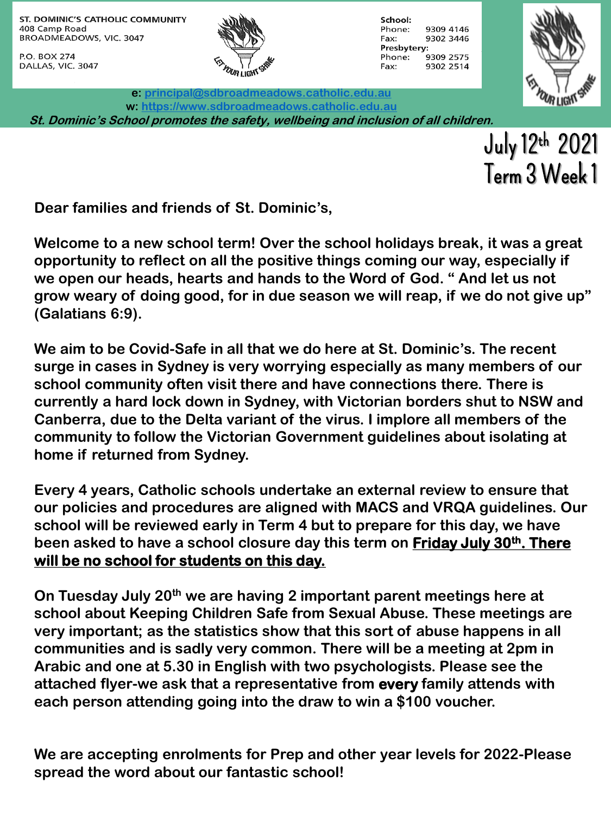P.O. BOX 274 DALLAS, VIC. 3047



School: Phone: 9309 4146 Fax: 9302 3446 Presbytery: 9309 2575 Phone: 9302 2514 Fax:



**e: [principal@sdbroadmeadows.catholic.edu.au](mailto:principal@sdbroadmeadows.catholic.edu.au) w: [https://www.sdbroadmeadows.catholic.edu.au](https://www.sdbroadmeadows.catholic.edu.au/) St. Dominic's School promotes the safety, wellbeing and inclusion of all children.**

> July 12th 2021 Term 3 Week 1

**Dear families and friends of St. Dominic's,**

**Welcome to a new school term! Over the school holidays break, it was a great opportunity to reflect on all the positive things coming our way, especially if we open our heads, hearts and hands to the Word of God. " And let us not grow weary of doing good, for in due season we will reap, if we do not give up" (Galatians 6:9).**

**We aim to be Covid-Safe in all that we do here at St. Dominic's. The recent surge in cases in Sydney is very worrying especially as many members of our school community often visit there and have connections there. There is currently a hard lock down in Sydney, with Victorian borders shut to NSW and Canberra, due to the Delta variant of the virus. I implore all members of the community to follow the Victorian Government guidelines about isolating at home if returned from Sydney.**

**Every 4 years, Catholic schools undertake an external review to ensure that our policies and procedures are aligned with MACS and VRQA guidelines. Our school will be reviewed early in Term 4 but to prepare for this day, we have been asked to have a school closure day this term on Friday July 30th. There will be no school for students on this day.**

**On Tuesday July 20th we are having 2 important parent meetings here at school about Keeping Children Safe from Sexual Abuse. These meetings are very important; as the statistics show that this sort of abuse happens in all communities and is sadly very common. There will be a meeting at 2pm in Arabic and one at 5.30 in English with two psychologists. Please see the attached flyer-we ask that a representative from every family attends with each person attending going into the draw to win a \$100 voucher.**

**We are accepting enrolments for Prep and other year levels for 2022-Please spread the word about our fantastic school!**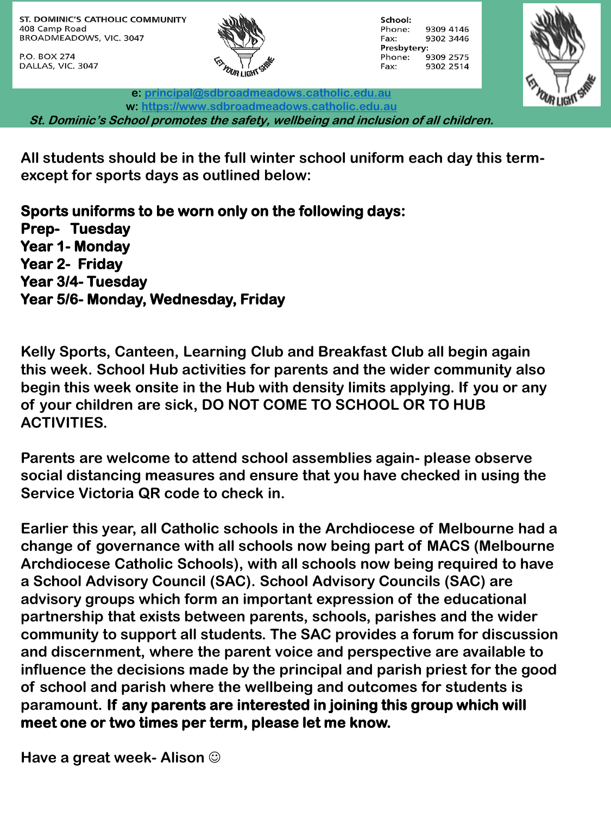P.O. BOX 274 DALLAS, VIC. 3047



School: Phone: 9309 4146 Fax: 9302 3446 Presbytery: 9309 2575 Phone: 9302 2514 Fax:



**e: [principal@sdbroadmeadows.catholic.edu.au](mailto:principal@sdbroadmeadows.catholic.edu.au) w: [https://www.sdbroadmeadows.catholic.edu.au](https://www.sdbroadmeadows.catholic.edu.au/) St. Dominic's School promotes the safety, wellbeing and inclusion of all children.**

**All students should be in the full winter school uniform each day this termexcept for sports days as outlined below:**

**Sports uniforms to be worn only on the following days: Prep- Tuesday Year 1- Monday Year 2- Friday Year 3/4- Tuesday Year 5/6- Monday, Wednesday, Friday**

**Kelly Sports, Canteen, Learning Club and Breakfast Club all begin again this week. School Hub activities for parents and the wider community also begin this week onsite in the Hub with density limits applying. If you or any of your children are sick, DO NOT COME TO SCHOOL OR TO HUB ACTIVITIES.**

**Parents are welcome to attend school assemblies again- please observe social distancing measures and ensure that you have checked in using the Service Victoria QR code to check in.**

**Earlier this year, all Catholic schools in the Archdiocese of Melbourne had a change of governance with all schools now being part of MACS (Melbourne Archdiocese Catholic Schools), with all schools now being required to have a School Advisory Council (SAC). School Advisory Councils (SAC) are advisory groups which form an important expression of the educational partnership that exists between parents, schools, parishes and the wider community to support all students. The SAC provides a forum for discussion and discernment, where the parent voice and perspective are available to influence the decisions made by the principal and parish priest for the good of school and parish where the wellbeing and outcomes for students is paramount. If any parents are interested in joining this group which will meet one or two times per term, please let me know.**

**Have a great week- Alison**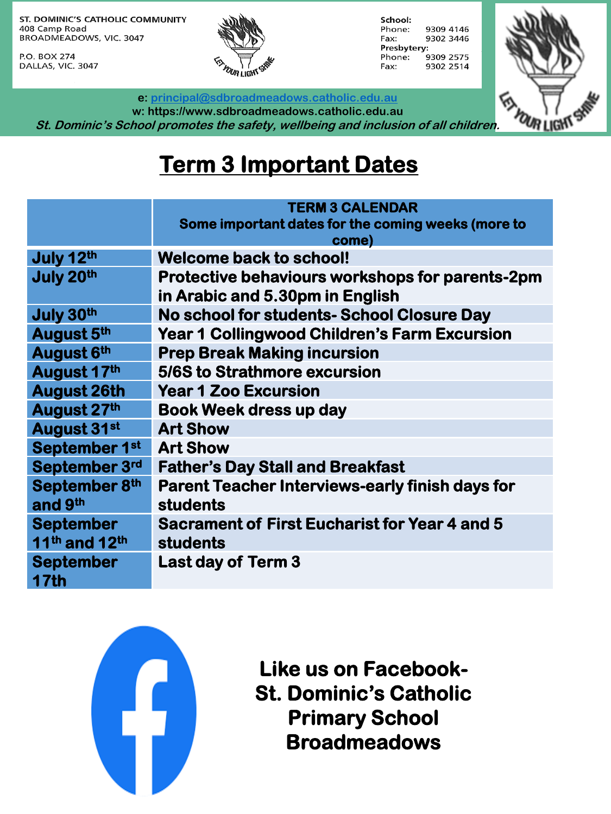P.O. BOX 274 DALLAS, VIC. 3047



School: 9309 4146 Phone: Fax: 9302 3446 Presbytery: Phone: 9309 2575 9302 2514 Fax:



**e: [principal@sdbroadmeadows.catholic.edu.au](mailto:principal@sdbroadmeadows.catholic.edu.au)**

**w: https://www.sdbroadmeadows.catholic.edu.au St. Dominic's School promotes the safety, wellbeing and inclusion of all children.**

## **Term 3 Important Dates**

|                                       | <b>TERM 3 CALENDAR</b>                                 |  |  |
|---------------------------------------|--------------------------------------------------------|--|--|
|                                       | Some important dates for the coming weeks (more to     |  |  |
|                                       | come)                                                  |  |  |
| July 12th                             | <b>Welcome back to school!</b>                         |  |  |
| July 20th                             | Protective behaviours workshops for parents-2pm        |  |  |
|                                       | in Arabic and 5.30pm in English                        |  |  |
| July 30th                             | No school for students- School Closure Day             |  |  |
| August 5th                            | <b>Year 1 Collingwood Children's Farm Excursion</b>    |  |  |
| August 6th                            | <b>Prep Break Making incursion</b>                     |  |  |
| August 17th                           | 5/6S to Strathmore excursion                           |  |  |
| <b>August 26th</b>                    | <b>Year 1 Zoo Excursion</b>                            |  |  |
| August 27th                           | <b>Book Week dress up day</b>                          |  |  |
| August 31st                           | <b>Art Show</b>                                        |  |  |
| September 1st                         | <b>Art Show</b>                                        |  |  |
| September 3rd                         | <b>Father's Day Stall and Breakfast</b>                |  |  |
| September 8th                         | <b>Parent Teacher Interviews-early finish days for</b> |  |  |
| and 9 <sup>th</sup>                   | students                                               |  |  |
| <b>September</b>                      | Sacrament of First Eucharist for Year 4 and 5          |  |  |
| 11 <sup>th</sup> and 12 <sup>th</sup> | <b>students</b>                                        |  |  |
| <b>September</b>                      | <b>Last day of Term 3</b>                              |  |  |
| <b>17th</b>                           |                                                        |  |  |
|                                       |                                                        |  |  |



**Like us on Facebook-St. Dominic's Catholic Primary School Broadmeadows**